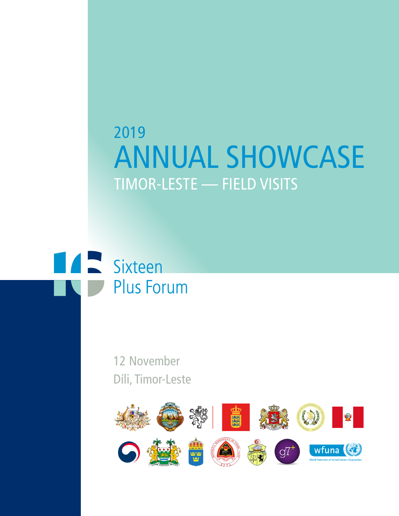# 2019 ANNUAL SHOWCASE TIMOR-LESTE — FIELD VISITS



12 November Díli, Timor-Leste

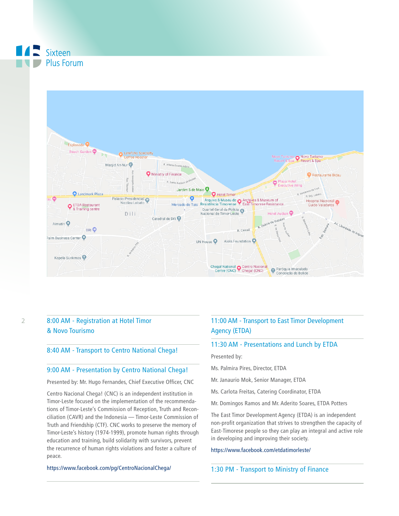

## 8:00 AM - Registration at Hotel Timor & Novo Tourismo

### 8:40 AM - Transport to Centro National Chega!

### 9:00 AM - Presentation by Centro National Chega!

Presented by: Mr. Hugo Fernandes, Chief Executive Officer, CNC

Centro Nacional Chega! (CNC) is an independent institution in Timor-Leste focused on the implementation of the recommendations of Timor-Leste's Commission of Reception, Truth and Reconciliation (CAVR) and the Indonesia — Timor-Leste Commission of Truth and Friendship (CTF). CNC works to preserve the memory of Timor-Leste's history (1974-1999), promote human rights through education and training, build solidarity with survivors, prevent the recurrence of human rights violations and foster a culture of peace.

#### https://www.facebook.com/pg/CentroNacionalChega/

# 11:00 AM - Transport to East Timor Development Agency (ETDA)

## 11:30 AM - Presentations and Lunch by ETDA

Presented by:

- Ms. Palmira Pires, Director, ETDA
- Mr. Janaurio Mok, Senior Manager, ETDA
- Ms. Carlota Freitas, Catering Coordinator, ETDA
- Mr. Domingos Ramos and Mr. Aderito Soares, ETDA Potters

The East Timor Development Agency (ETDA) is an independent non-profit organization that strives to strengthen the capacity of East-Timorese people so they can play an integral and active role in developing and improving their society.

#### https://www.facebook.com/etdatimorleste/

## 1:30 PM - Transport to Ministry of Finance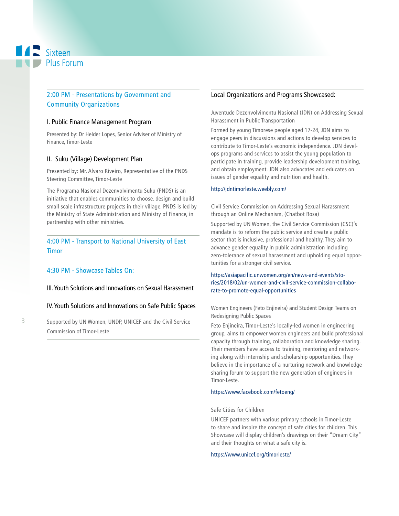# 2:00 PM - Presentations by Government and Community Organizations

## I. Public Finance Management Program

Presented by: Dr Helder Lopes, Senior Adviser of Ministry of Finance, Timor-Leste

## II. Suku (Village) Development Plan

Presented by: Mr. Alvaro Riveiro, Representative of the PNDS Steering Committee, Timor-Leste

The Programa Nasional Dezenvolvimentu Suku (PNDS) is an initiative that enables communities to choose, design and build small scale infrastructure projects in their village. PNDS is led by the Ministry of State Administration and Ministry of Finance, in partnership with other ministries.

# 4:00 PM - Transport to National University of East Timor

## 4:30 PM - Showcase Tables On:

III. Youth Solutions and Innovations on Sexual Harassment

## IV. Youth Solutions and Innovations on Safe Public Spaces

Supported by UN Women, UNDP, UNICEF and the Civil Service Commission of Timor-Leste

## Local Organizations and Programs Showcased:

Juventude Dezenvolvimentu Nasional (JDN) on Addressing Sexual Harassment in Public Transportation

Formed by young Timorese people aged 17-24, JDN aims to engage peers in discussions and actions to develop services to contribute to Timor-Leste's economic independence. JDN develops programs and services to assist the young population to participate in training, provide leadership development training, and obtain employment. JDN also advocates and educates on issues of gender equality and nutrition and health.

### http://jdntimorleste.weebly.com/

Civil Service Commission on Addressing Sexual Harassment through an Online Mechanism, (Chatbot Rosa)

Supported by UN Women, the Civil Service Commission (CSC)'s mandate is to reform the public service and create a public sector that is inclusive, professional and healthy. They aim to advance gender equality in public administration including zero-tolerance of sexual harassment and upholding equal opportunities for a stronger civil service.

## https://asiapacific.unwomen.org/en/news-and-events/stories/2018/02/un-women-and-civil-service-commission-collaborate-to-promote-equal-opportunities

Women Engineers (Feto Enjineira) and Student Design Teams on Redesigning Public Spaces

Feto Enjineira, Timor-Leste's locally-led women in engineering group, aims to empower women engineers and build professional capacity through training, collaboration and knowledge sharing. Their members have access to training, mentoring and networking along with internship and scholarship opportunities. They believe in the importance of a nurturing network and knowledge sharing forum to support the new generation of engineers in Timor-Leste.

### https://www.facebook.com/fetoeng/

## Safe Cities for Children

UNICEF partners with various primary schools in Timor-Leste to share and inspire the concept of safe cities for children. This Showcase will display children's drawings on their "Dream City" and their thoughts on what a safe city is.

#### https://www.unicef.org/timorleste/